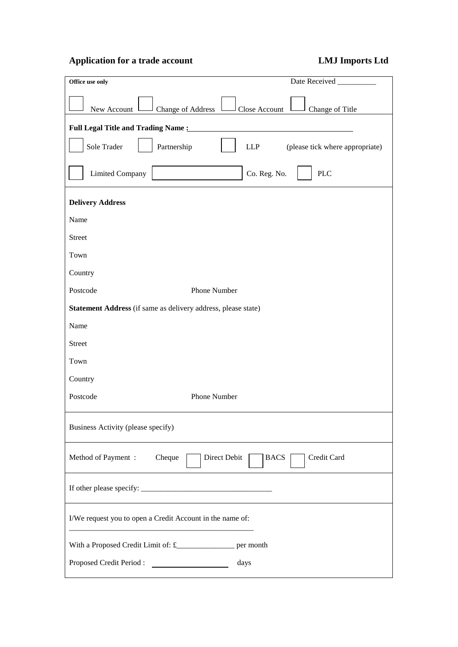# **Application for a trade account LMJ Imports Ltd**

| Date Received_<br>Office use only                                           |  |  |  |
|-----------------------------------------------------------------------------|--|--|--|
| New Account<br>Change of Address<br>Close Account<br>Change of Title        |  |  |  |
| <b>Full Legal Title and Trading Name:</b>                                   |  |  |  |
| Sole Trader<br>Partnership<br>(please tick where appropriate)<br><b>LLP</b> |  |  |  |
| <b>Limited Company</b><br>Co. Reg. No.<br><b>PLC</b>                        |  |  |  |
| <b>Delivery Address</b>                                                     |  |  |  |
| Name                                                                        |  |  |  |
| Street                                                                      |  |  |  |
| Town                                                                        |  |  |  |
| Country                                                                     |  |  |  |
| Postcode<br>Phone Number                                                    |  |  |  |
| Statement Address (if same as delivery address, please state)               |  |  |  |
| Name                                                                        |  |  |  |
| Street                                                                      |  |  |  |
| Town                                                                        |  |  |  |
| Country                                                                     |  |  |  |
| Postcode<br>Phone Number                                                    |  |  |  |
| Business Activity (please specify)                                          |  |  |  |
| Method of Payment :<br>Cheque<br>Direct Debit<br>Credit Card<br><b>BACS</b> |  |  |  |
|                                                                             |  |  |  |
| I/We request you to open a Credit Account in the name of:                   |  |  |  |
| With a Proposed Credit Limit of: £_________________ per month               |  |  |  |
| Proposed Credit Period:<br>days                                             |  |  |  |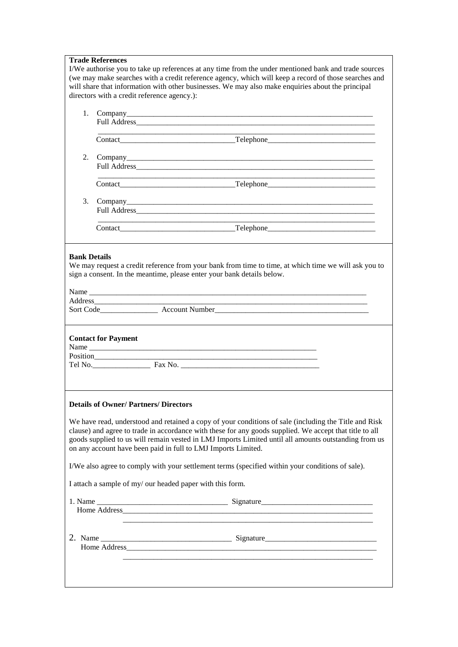| <b>Trade References</b><br>I/We authorise you to take up references at any time from the under mentioned bank and trade sources<br>(we may make searches with a credit reference agency, which will keep a record of those searches and<br>will share that information with other businesses. We may also make enquiries about the principal<br>directors with a credit reference agency.): |                                                                                                  |  |  |  |  |
|---------------------------------------------------------------------------------------------------------------------------------------------------------------------------------------------------------------------------------------------------------------------------------------------------------------------------------------------------------------------------------------------|--------------------------------------------------------------------------------------------------|--|--|--|--|
|                                                                                                                                                                                                                                                                                                                                                                                             |                                                                                                  |  |  |  |  |
|                                                                                                                                                                                                                                                                                                                                                                                             |                                                                                                  |  |  |  |  |
|                                                                                                                                                                                                                                                                                                                                                                                             |                                                                                                  |  |  |  |  |
|                                                                                                                                                                                                                                                                                                                                                                                             |                                                                                                  |  |  |  |  |
| 2.                                                                                                                                                                                                                                                                                                                                                                                          |                                                                                                  |  |  |  |  |
|                                                                                                                                                                                                                                                                                                                                                                                             |                                                                                                  |  |  |  |  |
|                                                                                                                                                                                                                                                                                                                                                                                             |                                                                                                  |  |  |  |  |
|                                                                                                                                                                                                                                                                                                                                                                                             |                                                                                                  |  |  |  |  |
|                                                                                                                                                                                                                                                                                                                                                                                             |                                                                                                  |  |  |  |  |
| 3.                                                                                                                                                                                                                                                                                                                                                                                          |                                                                                                  |  |  |  |  |
|                                                                                                                                                                                                                                                                                                                                                                                             |                                                                                                  |  |  |  |  |
|                                                                                                                                                                                                                                                                                                                                                                                             |                                                                                                  |  |  |  |  |
|                                                                                                                                                                                                                                                                                                                                                                                             |                                                                                                  |  |  |  |  |
| sign a consent. In the meantime, please enter your bank details below.<br>Name                                                                                                                                                                                                                                                                                                              |                                                                                                  |  |  |  |  |
| <b>Contact for Payment</b>                                                                                                                                                                                                                                                                                                                                                                  |                                                                                                  |  |  |  |  |
| <b>Details of Owner/ Partners/ Directors</b><br>We have read, understood and retained a copy of your conditions of sale (including the Title and Risk                                                                                                                                                                                                                                       |                                                                                                  |  |  |  |  |
| clause) and agree to trade in accordance with these for any goods supplied. We accept that title to all<br>goods supplied to us will remain vested in LMJ Imports Limited until all amounts outstanding from us<br>on any account have been paid in full to LMJ Imports Limited.                                                                                                            |                                                                                                  |  |  |  |  |
|                                                                                                                                                                                                                                                                                                                                                                                             | I/We also agree to comply with your settlement terms (specified within your conditions of sale). |  |  |  |  |
| I attach a sample of my/ our headed paper with this form.                                                                                                                                                                                                                                                                                                                                   |                                                                                                  |  |  |  |  |
|                                                                                                                                                                                                                                                                                                                                                                                             |                                                                                                  |  |  |  |  |
|                                                                                                                                                                                                                                                                                                                                                                                             |                                                                                                  |  |  |  |  |
|                                                                                                                                                                                                                                                                                                                                                                                             |                                                                                                  |  |  |  |  |
|                                                                                                                                                                                                                                                                                                                                                                                             |                                                                                                  |  |  |  |  |
|                                                                                                                                                                                                                                                                                                                                                                                             |                                                                                                  |  |  |  |  |
|                                                                                                                                                                                                                                                                                                                                                                                             |                                                                                                  |  |  |  |  |
|                                                                                                                                                                                                                                                                                                                                                                                             |                                                                                                  |  |  |  |  |
|                                                                                                                                                                                                                                                                                                                                                                                             |                                                                                                  |  |  |  |  |
|                                                                                                                                                                                                                                                                                                                                                                                             |                                                                                                  |  |  |  |  |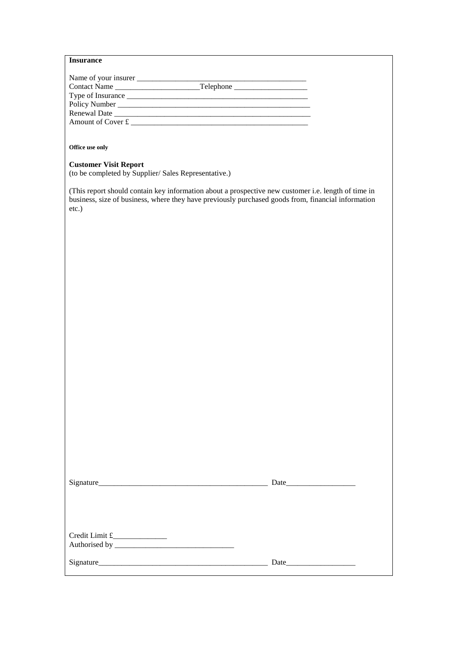| <b>Insurance</b>                  |  |
|-----------------------------------|--|
| Name of your insurer              |  |
|                                   |  |
|                                   |  |
| Policy Number                     |  |
| Renewal Date <b>Exercise 2018</b> |  |
| Amount of Cover £                 |  |
|                                   |  |

## **Office use only**

### **Customer Visit Report**

(to be completed by Supplier/ Sales Representative.)

(This report should contain key information about a prospective new customer i.e. length of time in business, size of business, where they have previously purchased goods from, financial information etc.)

| Signature_ | Date |
|------------|------|
|            |      |
|            |      |
|            |      |
|            |      |
|            |      |
| Signature_ | Date |
|            |      |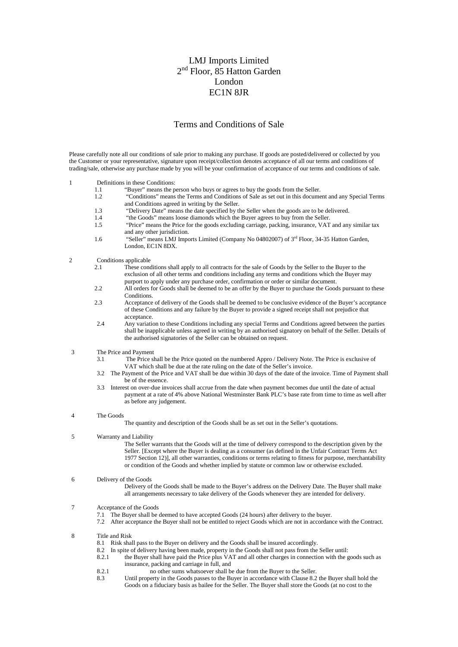# LMJ Imports Limited 2<sup>nd</sup> Floor, 85 Hatton Garden London EC1N 8JR

## Terms and Conditions of Sale

Please carefully note all our conditions of sale prior to making any purchase. If goods are posted/delivered or collected by you the Customer or your representative, signature upon receipt/collection denotes acceptance of all our terms and conditions of trading/sale, otherwise any purchase made by you will be your confirmation of acceptance of our terms and conditions of sale.

- 1 Definitions in these Conditions:
	- 1.1 "Buyer" means the person who buys or agrees to buy the goods from the Seller.<br>1.2 "Conditions" means the Terms and Conditions of Sale as set out in this docume
	- 1.2 "Conditions" means the Terms and Conditions of Sale as set out in this document and any Special Terms and Conditions agreed in writing by the Seller.
	- 1.3 "Delivery Date" means the date specified by the Seller when the goods are to be delivered.
	- 1.4 "the Goods" means loose diamonds which the Buyer agrees to buy from the Seller.<br>1.5 "Price" means the Price for the goods excluding carriage, packing, insurance, VAT
	- 1.5 "Price" means the Price for the goods excluding carriage, packing, insurance, VAT and any similar tax and any other jurisdiction.
	- 1.6 "Seller" means LMJ Imports Limited (Company No 04802007) of 3rd Floor, 34-35 Hatton Garden, London, EC1N 8DX.
- 2 Conditions applicable
	- 2.1 These conditions shall apply to all contracts for the sale of Goods by the Seller to the Buyer to the exclusion of all other terms and conditions including any terms and conditions which the Buyer may purport to apply under any purchase order, confirmation or order or similar document.
	- 2.2 All orders for Goods shall be deemed to be an offer by the Buyer to purchase the Goods pursuant to these Conditions.
	- 2.3 Acceptance of delivery of the Goods shall be deemed to be conclusive evidence of the Buyer's acceptance of these Conditions and any failure by the Buyer to provide a signed receipt shall not prejudice that acceptance.
	- 2.4 Any variation to these Conditions including any special Terms and Conditions agreed between the parties shall be inapplicable unless agreed in writing by an authorised signatory on behalf of the Seller. Details of the authorised signatories of the Seller can be obtained on request.
- 3 The Price and Payment
	- 3.1 The Price shall be the Price quoted on the numbered Appro / Delivery Note. The Price is exclusive of VAT which shall be due at the rate ruling on the date of the Seller's invoice.
	- 3.2 The Payment of the Price and VAT shall be due within 30 days of the date of the invoice. Time of Payment shall be of the essence.
	- 3.3 Interest on over-due invoices shall accrue from the date when payment becomes due until the date of actual payment at a rate of 4% above National Westminster Bank PLC's base rate from time to time as well after as before any judgement.
- 4 The Goods

The quantity and description of the Goods shall be as set out in the Seller's quotations.

5 Warranty and Liability

The Seller warrants that the Goods will at the time of delivery correspond to the description given by the Seller. [Except where the Buyer is dealing as a consumer (as defined in the Unfair Contract Terms Act 1977 Section 12)], all other warranties, conditions or terms relating to fitness for purpose, merchantability or condition of the Goods and whether implied by statute or common law or otherwise excluded.

#### 6 Delivery of the Goods

Delivery of the Goods shall be made to the Buyer's address on the Delivery Date. The Buyer shall make all arrangements necessary to take delivery of the Goods whenever they are intended for delivery.

#### 7 Acceptance of the Goods

- 7.1 The Buyer shall be deemed to have accepted Goods (24 hours) after delivery to the buyer.
- 7.2 After acceptance the Buyer shall not be entitled to reject Goods which are not in accordance with the Contract.

#### 8 Title and Risk

- 8.1 Risk shall pass to the Buyer on delivery and the Goods shall be insured accordingly.
- 8.2 In spite of delivery having been made, property in the Goods shall not pass from the Seller until:
- 8.2.1 the Buyer shall have paid the Price plus VAT and all other charges in connection with the goods such as insurance, packing and carriage in full, and
- 8.2.1 no other sums whatsoever shall be due from the Buyer to the Seller.<br>8.3 Intil property in the Goods passes to the Buyer in accordance with Clause 8.2
- Until property in the Goods passes to the Buyer in accordance with Clause 8.2 the Buyer shall hold the Goods on a fiduciary basis as bailee for the Seller. The Buyer shall store the Goods (at no cost to the